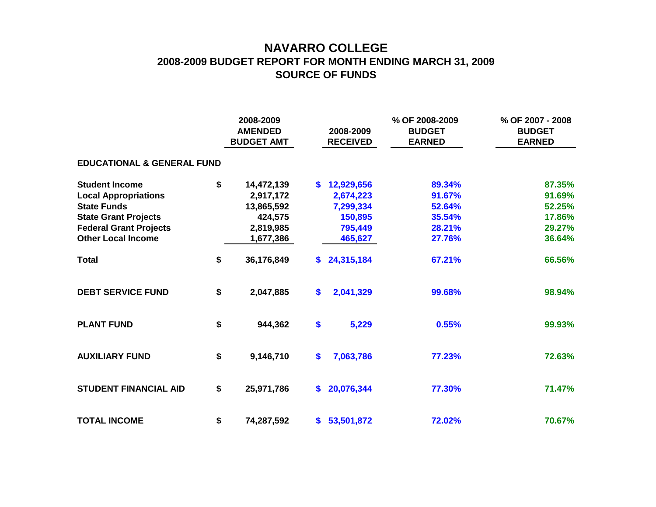## **NAVARRO COLLEGE 2008-2009 BUDGET REPORT FOR MONTH ENDING MARCH 31, 2009 SOURCE OF FUNDS**

|                                       |    | 2008-2009<br><b>AMENDED</b><br><b>BUDGET AMT</b> |    | 2008-2009<br><b>RECEIVED</b> | % OF 2008-2009<br><b>BUDGET</b><br><b>EARNED</b> | % OF 2007 - 2008<br><b>BUDGET</b><br><b>EARNED</b> |  |  |  |  |  |  |  |
|---------------------------------------|----|--------------------------------------------------|----|------------------------------|--------------------------------------------------|----------------------------------------------------|--|--|--|--|--|--|--|
| <b>EDUCATIONAL &amp; GENERAL FUND</b> |    |                                                  |    |                              |                                                  |                                                    |  |  |  |  |  |  |  |
| <b>Student Income</b>                 | \$ | 14,472,139                                       | S. | 12,929,656                   | 89.34%                                           | 87.35%                                             |  |  |  |  |  |  |  |
| <b>Local Appropriations</b>           |    | 2,917,172                                        |    | 2,674,223                    | 91.67%                                           | 91.69%                                             |  |  |  |  |  |  |  |
| <b>State Funds</b>                    |    | 13,865,592                                       |    | 7,299,334                    | 52.64%                                           | 52.25%                                             |  |  |  |  |  |  |  |
| <b>State Grant Projects</b>           |    | 424,575                                          |    | 150,895                      | 35.54%                                           | 17.86%                                             |  |  |  |  |  |  |  |
| <b>Federal Grant Projects</b>         |    | 2,819,985                                        |    | 795,449                      | 28.21%                                           | 29.27%                                             |  |  |  |  |  |  |  |
| <b>Other Local Income</b>             |    | 1,677,386                                        |    | 465,627                      | 27.76%                                           | 36.64%                                             |  |  |  |  |  |  |  |
| <b>Total</b>                          | \$ | 36,176,849                                       | S. | 24,315,184                   | 67.21%                                           | 66.56%                                             |  |  |  |  |  |  |  |
| <b>DEBT SERVICE FUND</b>              | \$ | 2,047,885                                        | \$ | 2,041,329                    | 99.68%                                           | 98.94%                                             |  |  |  |  |  |  |  |
| <b>PLANT FUND</b>                     | \$ | 944,362                                          | \$ | 5,229                        | 0.55%                                            | 99.93%                                             |  |  |  |  |  |  |  |
| <b>AUXILIARY FUND</b>                 | \$ | 9,146,710                                        | \$ | 7,063,786                    | 77.23%                                           | 72.63%                                             |  |  |  |  |  |  |  |
| <b>STUDENT FINANCIAL AID</b>          | \$ | 25,971,786                                       | \$ | 20,076,344                   | 77.30%                                           | 71.47%                                             |  |  |  |  |  |  |  |
| <b>TOTAL INCOME</b>                   | \$ | 74,287,592                                       |    | \$53,501,872                 | 72.02%                                           | 70.67%                                             |  |  |  |  |  |  |  |